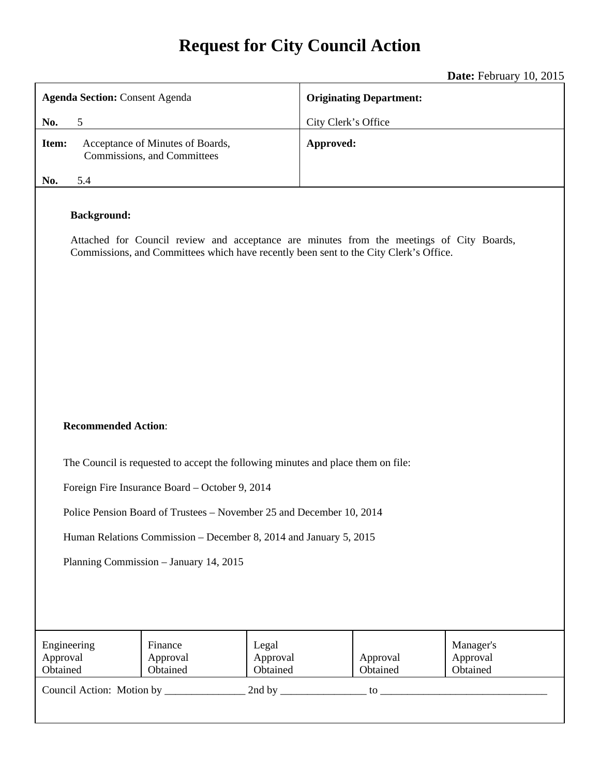# **Request for City Council Action**

**Date:** February 10, 2015

| <b>Agenda Section: Consent Agenda</b>                                                                                                                                                                                                                                                         |                                                                 |                               | <b>Originating Department:</b> |                                   |  |
|-----------------------------------------------------------------------------------------------------------------------------------------------------------------------------------------------------------------------------------------------------------------------------------------------|-----------------------------------------------------------------|-------------------------------|--------------------------------|-----------------------------------|--|
| 5<br>No.                                                                                                                                                                                                                                                                                      |                                                                 |                               | City Clerk's Office            |                                   |  |
| Item:                                                                                                                                                                                                                                                                                         | Acceptance of Minutes of Boards,<br>Commissions, and Committees |                               | Approved:                      |                                   |  |
| 5.4<br>No.                                                                                                                                                                                                                                                                                    |                                                                 |                               |                                |                                   |  |
| <b>Background:</b><br>Attached for Council review and acceptance are minutes from the meetings of City Boards,<br>Commissions, and Committees which have recently been sent to the City Clerk's Office.                                                                                       |                                                                 |                               |                                |                                   |  |
| <b>Recommended Action:</b>                                                                                                                                                                                                                                                                    |                                                                 |                               |                                |                                   |  |
| The Council is requested to accept the following minutes and place them on file:                                                                                                                                                                                                              |                                                                 |                               |                                |                                   |  |
| Foreign Fire Insurance Board - October 9, 2014                                                                                                                                                                                                                                                |                                                                 |                               |                                |                                   |  |
| Police Pension Board of Trustees – November 25 and December 10, 2014                                                                                                                                                                                                                          |                                                                 |                               |                                |                                   |  |
| Human Relations Commission – December 8, 2014 and January 5, 2015                                                                                                                                                                                                                             |                                                                 |                               |                                |                                   |  |
| Planning Commission - January 14, 2015                                                                                                                                                                                                                                                        |                                                                 |                               |                                |                                   |  |
|                                                                                                                                                                                                                                                                                               |                                                                 |                               |                                |                                   |  |
| Engineering<br>Approval<br>Obtained                                                                                                                                                                                                                                                           | Finance<br>Approval<br>Obtained                                 | Legal<br>Approval<br>Obtained | Approval<br>Obtained           | Manager's<br>Approval<br>Obtained |  |
| $\frac{1}{2}$ to $\frac{1}{2}$ to $\frac{1}{2}$ and $\frac{1}{2}$ and $\frac{1}{2}$ and $\frac{1}{2}$ and $\frac{1}{2}$ and $\frac{1}{2}$ and $\frac{1}{2}$ and $\frac{1}{2}$ and $\frac{1}{2}$ and $\frac{1}{2}$ and $\frac{1}{2}$ and $\frac{1}{2}$ and $\frac{1}{2}$ and $\frac{1}{2}$ and |                                                                 |                               |                                |                                   |  |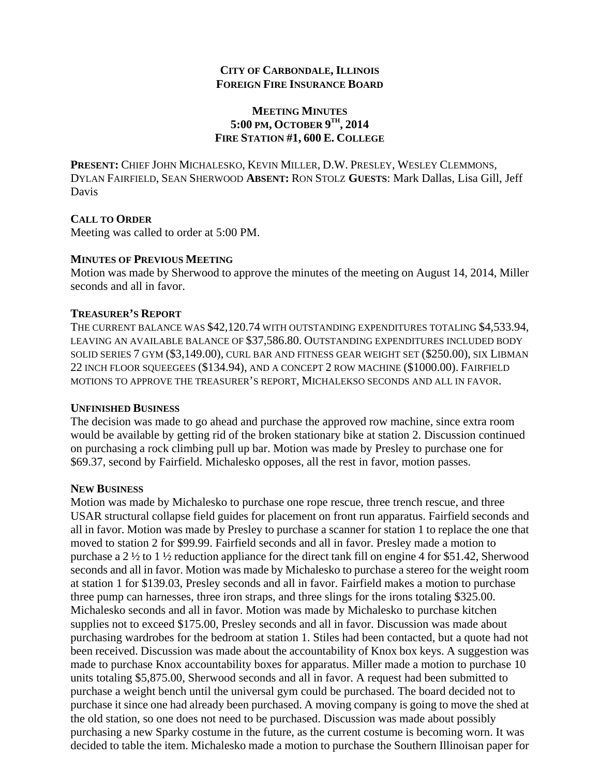## **CITY OF CARBONDALE, ILLINOIS FOREIGN FIRE INSURANCE BOARD**

## **MEETING MINUTES 5:00 PM, OCTOBER 9TH, 2014 FIRE STATION #1, 600 E. COLLEGE**

**PRESENT:** CHIEF JOHN MICHALESKO, KEVIN MILLER, D.W. PRESLEY, WESLEY CLEMMONS, DYLAN FAIRFIELD, SEAN SHERWOOD **ABSENT:** RON STOLZ **GUESTS**: Mark Dallas, Lisa Gill, Jeff Davis

## **CALL TO ORDER**

Meeting was called to order at 5:00 PM.

## **MINUTES OF PREVIOUS MEETING**

Motion was made by Sherwood to approve the minutes of the meeting on August 14, 2014, Miller seconds and all in favor.

## **TREASURER'S REPORT**

THE CURRENT BALANCE WAS \$42,120.74 WITH OUTSTANDING EXPENDITURES TOTALING \$4,533.94, LEAVING AN AVAILABLE BALANCE OF \$37,586.80. OUTSTANDING EXPENDITURES INCLUDED BODY SOLID SERIES 7 GYM (\$3,149.00), CURL BAR AND FITNESS GEAR WEIGHT SET (\$250.00), SIX LIBMAN 22 INCH FLOOR SQUEEGEES (\$134.94), AND A CONCEPT 2 ROW MACHINE (\$1000.00). FAIRFIELD MOTIONS TO APPROVE THE TREASURER'S REPORT, MICHALEKSO SECONDS AND ALL IN FAVOR.

#### **UNFINISHED BUSINESS**

The decision was made to go ahead and purchase the approved row machine, since extra room would be available by getting rid of the broken stationary bike at station 2. Discussion continued on purchasing a rock climbing pull up bar. Motion was made by Presley to purchase one for \$69.37, second by Fairfield. Michalesko opposes, all the rest in favor, motion passes.

## **NEW BUSINESS**

Motion was made by Michalesko to purchase one rope rescue, three trench rescue, and three USAR structural collapse field guides for placement on front run apparatus. Fairfield seconds and all in favor. Motion was made by Presley to purchase a scanner for station 1 to replace the one that moved to station 2 for \$99.99. Fairfield seconds and all in favor. Presley made a motion to purchase a 2 ½ to 1 ½ reduction appliance for the direct tank fill on engine 4 for \$51.42, Sherwood seconds and all in favor. Motion was made by Michalesko to purchase a stereo for the weight room at station 1 for \$139.03, Presley seconds and all in favor. Fairfield makes a motion to purchase three pump can harnesses, three iron straps, and three slings for the irons totaling \$325.00. Michalesko seconds and all in favor. Motion was made by Michalesko to purchase kitchen supplies not to exceed \$175.00, Presley seconds and all in favor. Discussion was made about purchasing wardrobes for the bedroom at station 1. Stiles had been contacted, but a quote had not been received. Discussion was made about the accountability of Knox box keys. A suggestion was made to purchase Knox accountability boxes for apparatus. Miller made a motion to purchase 10 units totaling \$5,875.00, Sherwood seconds and all in favor. A request had been submitted to purchase a weight bench until the universal gym could be purchased. The board decided not to purchase it since one had already been purchased. A moving company is going to move the shed at the old station, so one does not need to be purchased. Discussion was made about possibly purchasing a new Sparky costume in the future, as the current costume is becoming worn. It was decided to table the item. Michalesko made a motion to purchase the Southern Illinoisan paper for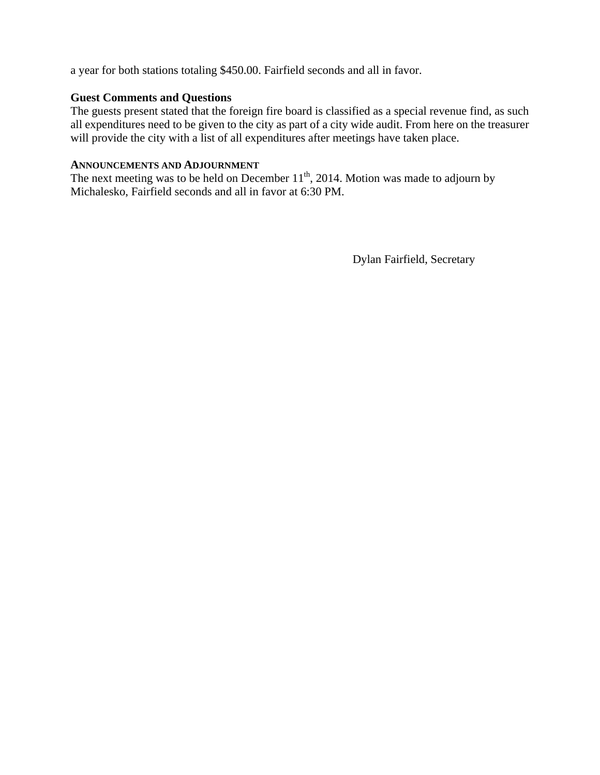a year for both stations totaling \$450.00. Fairfield seconds and all in favor.

## **Guest Comments and Questions**

The guests present stated that the foreign fire board is classified as a special revenue find, as such all expenditures need to be given to the city as part of a city wide audit. From here on the treasurer will provide the city with a list of all expenditures after meetings have taken place.

## **ANNOUNCEMENTS AND ADJOURNMENT**

The next meeting was to be held on December  $11<sup>th</sup>$ , 2014. Motion was made to adjourn by Michalesko, Fairfield seconds and all in favor at 6:30 PM.

Dylan Fairfield, Secretary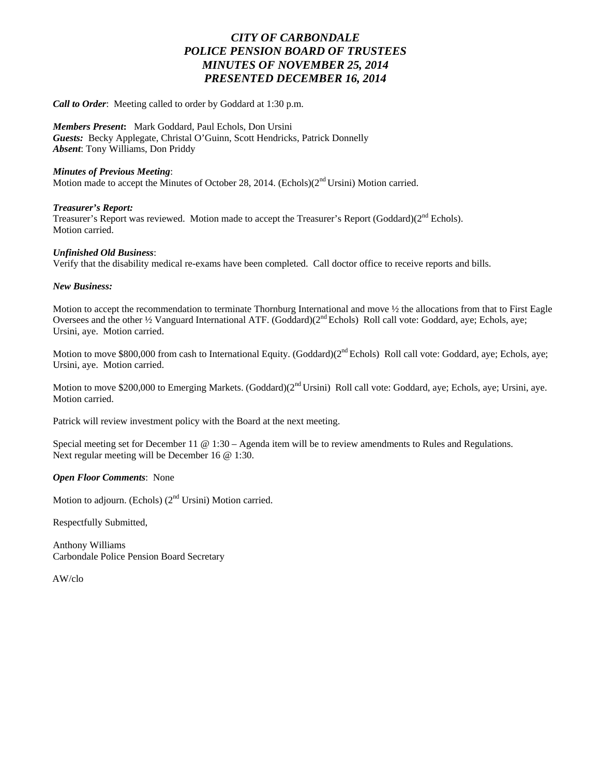## *CITY OF CARBONDALE POLICE PENSION BOARD OF TRUSTEES MINUTES OF NOVEMBER 25, 2014 PRESENTED DECEMBER 16, 2014*

*Call to Order*: Meeting called to order by Goddard at 1:30 p.m.

*Members Present***:** Mark Goddard, Paul Echols, Don Ursini *Guests:* Becky Applegate, Christal O'Guinn, Scott Hendricks, Patrick Donnelly *Absent*: Tony Williams, Don Priddy

#### *Minutes of Previous Meeting*:

Motion made to accept the Minutes of October 28, 2014. (Echols) $(2<sup>nd</sup>Ursini)$  Motion carried.

#### *Treasurer's Report:*

Treasurer's Report was reviewed. Motion made to accept the Treasurer's Report (Goddard)(2<sup>nd</sup> Echols). Motion carried.

#### *Unfinished Old Business*:

Verify that the disability medical re-exams have been completed. Call doctor office to receive reports and bills.

#### *New Business:*

Motion to accept the recommendation to terminate Thornburg International and move ½ the allocations from that to First Eagle Oversees and the other ½ Vanguard International ATF. (Goddard)(2nd Echols) Roll call vote: Goddard, aye; Echols, aye; Ursini, aye. Motion carried.

Motion to move \$800,000 from cash to International Equity. (Goddard)(2<sup>nd</sup> Echols) Roll call vote: Goddard, aye; Echols, aye; Ursini, aye. Motion carried.

Motion to move \$200,000 to Emerging Markets. (Goddard)(2<sup>nd</sup> Ursini) Roll call vote: Goddard, aye; Echols, aye; Ursini, aye. Motion carried.

Patrick will review investment policy with the Board at the next meeting.

Special meeting set for December 11 @ 1:30 – Agenda item will be to review amendments to Rules and Regulations. Next regular meeting will be December 16 @ 1:30.

#### *Open Floor Comments*: None

Motion to adjourn. (Echols) (2<sup>nd</sup> Ursini) Motion carried.

Respectfully Submitted,

Anthony Williams Carbondale Police Pension Board Secretary

AW/clo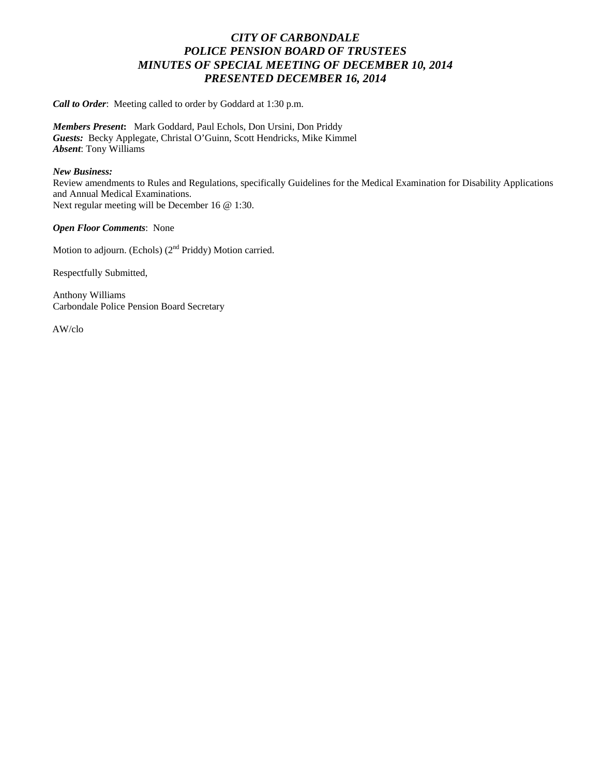## *CITY OF CARBONDALE POLICE PENSION BOARD OF TRUSTEES MINUTES OF SPECIAL MEETING OF DECEMBER 10, 2014 PRESENTED DECEMBER 16, 2014*

*Call to Order*: Meeting called to order by Goddard at 1:30 p.m.

*Members Present***:** Mark Goddard, Paul Echols, Don Ursini, Don Priddy *Guests:* Becky Applegate, Christal O'Guinn, Scott Hendricks, Mike Kimmel *Absent*: Tony Williams

#### *New Business:*

Review amendments to Rules and Regulations, specifically Guidelines for the Medical Examination for Disability Applications and Annual Medical Examinations. Next regular meeting will be December 16 @ 1:30.

*Open Floor Comments*: None

Motion to adjourn. (Echols) (2<sup>nd</sup> Priddy) Motion carried.

Respectfully Submitted,

Anthony Williams Carbondale Police Pension Board Secretary

AW/clo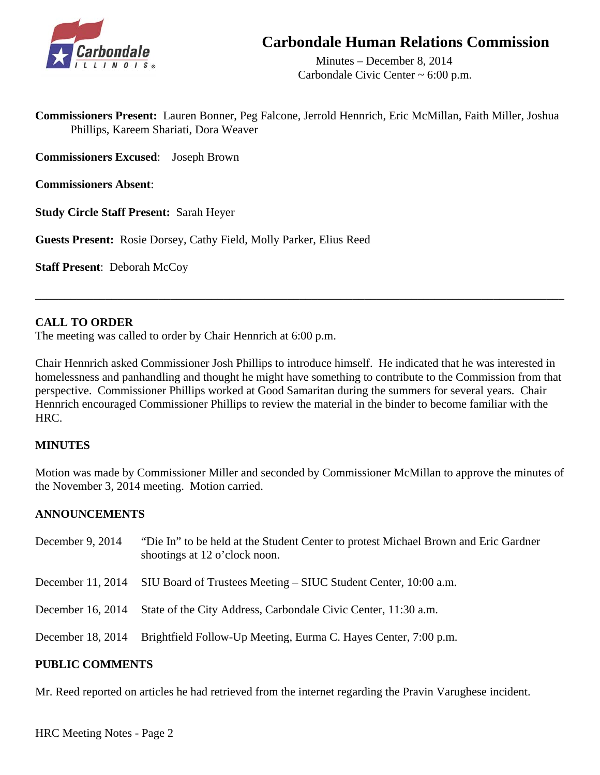

## **Carbondale Human Relations Commission**

 Minutes – December 8, 2014 Carbondale Civic Center ~ 6:00 p.m.

**Commissioners Present:** Lauren Bonner, Peg Falcone, Jerrold Hennrich, Eric McMillan, Faith Miller, Joshua Phillips, Kareem Shariati, Dora Weaver

**Commissioners Excused**: Joseph Brown

**Commissioners Absent**:

**Study Circle Staff Present:** Sarah Heyer

**Guests Present:** Rosie Dorsey, Cathy Field, Molly Parker, Elius Reed

**Staff Present**: Deborah McCoy

## **CALL TO ORDER**

The meeting was called to order by Chair Hennrich at 6:00 p.m.

Chair Hennrich asked Commissioner Josh Phillips to introduce himself. He indicated that he was interested in homelessness and panhandling and thought he might have something to contribute to the Commission from that perspective. Commissioner Phillips worked at Good Samaritan during the summers for several years. Chair Hennrich encouraged Commissioner Phillips to review the material in the binder to become familiar with the HRC.

\_\_\_\_\_\_\_\_\_\_\_\_\_\_\_\_\_\_\_\_\_\_\_\_\_\_\_\_\_\_\_\_\_\_\_\_\_\_\_\_\_\_\_\_\_\_\_\_\_\_\_\_\_\_\_\_\_\_\_\_\_\_\_\_\_\_\_\_\_\_\_\_\_\_\_\_\_\_\_\_\_\_\_\_\_\_\_\_\_\_

## **MINUTES**

Motion was made by Commissioner Miller and seconded by Commissioner McMillan to approve the minutes of the November 3, 2014 meeting. Motion carried.

## **ANNOUNCEMENTS**

| December 9, 2014 | "Die In" to be held at the Student Center to protest Michael Brown and Eric Gardner<br>shootings at 12 o'clock noon. |
|------------------|----------------------------------------------------------------------------------------------------------------------|
|                  | December 11, 2014 SIU Board of Trustees Meeting – SIUC Student Center, 10:00 a.m.                                    |
|                  | December 16, 2014 State of the City Address, Carbondale Civic Center, 11:30 a.m.                                     |
|                  | December 18, 2014 Brightfield Follow-Up Meeting, Eurma C. Hayes Center, 7:00 p.m.                                    |
|                  |                                                                                                                      |

## **PUBLIC COMMENTS**

Mr. Reed reported on articles he had retrieved from the internet regarding the Pravin Varughese incident.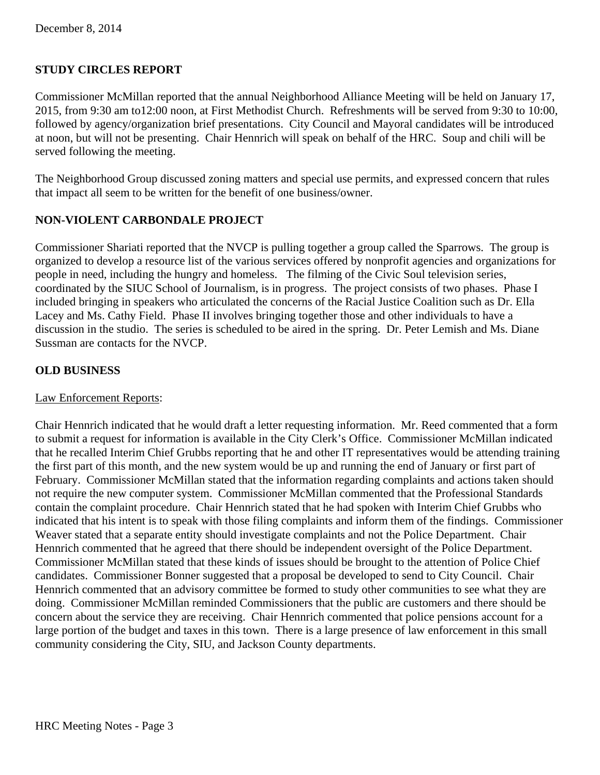## **STUDY CIRCLES REPORT**

Commissioner McMillan reported that the annual Neighborhood Alliance Meeting will be held on January 17, 2015, from 9:30 am to12:00 noon, at First Methodist Church. Refreshments will be served from 9:30 to 10:00, followed by agency/organization brief presentations. City Council and Mayoral candidates will be introduced at noon, but will not be presenting. Chair Hennrich will speak on behalf of the HRC. Soup and chili will be served following the meeting.

The Neighborhood Group discussed zoning matters and special use permits, and expressed concern that rules that impact all seem to be written for the benefit of one business/owner.

## **NON-VIOLENT CARBONDALE PROJECT**

Commissioner Shariati reported that the NVCP is pulling together a group called the Sparrows. The group is organized to develop a resource list of the various services offered by nonprofit agencies and organizations for people in need, including the hungry and homeless. The filming of the Civic Soul television series, coordinated by the SIUC School of Journalism, is in progress. The project consists of two phases. Phase I included bringing in speakers who articulated the concerns of the Racial Justice Coalition such as Dr. Ella Lacey and Ms. Cathy Field. Phase II involves bringing together those and other individuals to have a discussion in the studio. The series is scheduled to be aired in the spring. Dr. Peter Lemish and Ms. Diane Sussman are contacts for the NVCP.

## **OLD BUSINESS**

## Law Enforcement Reports:

Chair Hennrich indicated that he would draft a letter requesting information. Mr. Reed commented that a form to submit a request for information is available in the City Clerk's Office. Commissioner McMillan indicated that he recalled Interim Chief Grubbs reporting that he and other IT representatives would be attending training the first part of this month, and the new system would be up and running the end of January or first part of February. Commissioner McMillan stated that the information regarding complaints and actions taken should not require the new computer system. Commissioner McMillan commented that the Professional Standards contain the complaint procedure. Chair Hennrich stated that he had spoken with Interim Chief Grubbs who indicated that his intent is to speak with those filing complaints and inform them of the findings. Commissioner Weaver stated that a separate entity should investigate complaints and not the Police Department. Chair Hennrich commented that he agreed that there should be independent oversight of the Police Department. Commissioner McMillan stated that these kinds of issues should be brought to the attention of Police Chief candidates. Commissioner Bonner suggested that a proposal be developed to send to City Council. Chair Hennrich commented that an advisory committee be formed to study other communities to see what they are doing. Commissioner McMillan reminded Commissioners that the public are customers and there should be concern about the service they are receiving. Chair Hennrich commented that police pensions account for a large portion of the budget and taxes in this town. There is a large presence of law enforcement in this small community considering the City, SIU, and Jackson County departments.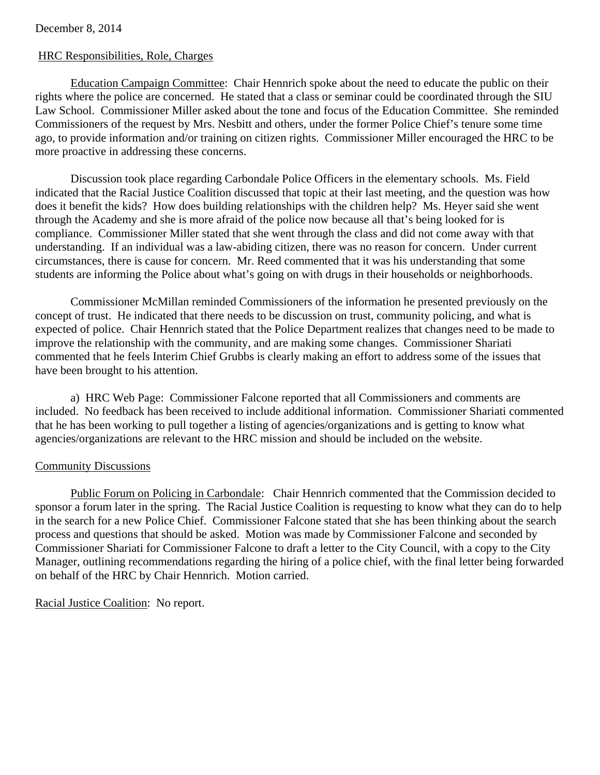#### December 8, 2014

## HRC Responsibilities, Role, Charges

Education Campaign Committee: Chair Hennrich spoke about the need to educate the public on their rights where the police are concerned. He stated that a class or seminar could be coordinated through the SIU Law School. Commissioner Miller asked about the tone and focus of the Education Committee. She reminded Commissioners of the request by Mrs. Nesbitt and others, under the former Police Chief's tenure some time ago, to provide information and/or training on citizen rights. Commissioner Miller encouraged the HRC to be more proactive in addressing these concerns.

Discussion took place regarding Carbondale Police Officers in the elementary schools. Ms. Field indicated that the Racial Justice Coalition discussed that topic at their last meeting, and the question was how does it benefit the kids? How does building relationships with the children help? Ms. Heyer said she went through the Academy and she is more afraid of the police now because all that's being looked for is compliance. Commissioner Miller stated that she went through the class and did not come away with that understanding. If an individual was a law-abiding citizen, there was no reason for concern. Under current circumstances, there is cause for concern. Mr. Reed commented that it was his understanding that some students are informing the Police about what's going on with drugs in their households or neighborhoods.

Commissioner McMillan reminded Commissioners of the information he presented previously on the concept of trust. He indicated that there needs to be discussion on trust, community policing, and what is expected of police. Chair Hennrich stated that the Police Department realizes that changes need to be made to improve the relationship with the community, and are making some changes. Commissioner Shariati commented that he feels Interim Chief Grubbs is clearly making an effort to address some of the issues that have been brought to his attention.

a) HRC Web Page: Commissioner Falcone reported that all Commissioners and comments are included. No feedback has been received to include additional information. Commissioner Shariati commented that he has been working to pull together a listing of agencies/organizations and is getting to know what agencies/organizations are relevant to the HRC mission and should be included on the website.

#### Community Discussions

 Public Forum on Policing in Carbondale: Chair Hennrich commented that the Commission decided to sponsor a forum later in the spring. The Racial Justice Coalition is requesting to know what they can do to help in the search for a new Police Chief. Commissioner Falcone stated that she has been thinking about the search process and questions that should be asked. Motion was made by Commissioner Falcone and seconded by Commissioner Shariati for Commissioner Falcone to draft a letter to the City Council, with a copy to the City Manager, outlining recommendations regarding the hiring of a police chief, with the final letter being forwarded on behalf of the HRC by Chair Hennrich. Motion carried.

Racial Justice Coalition: No report.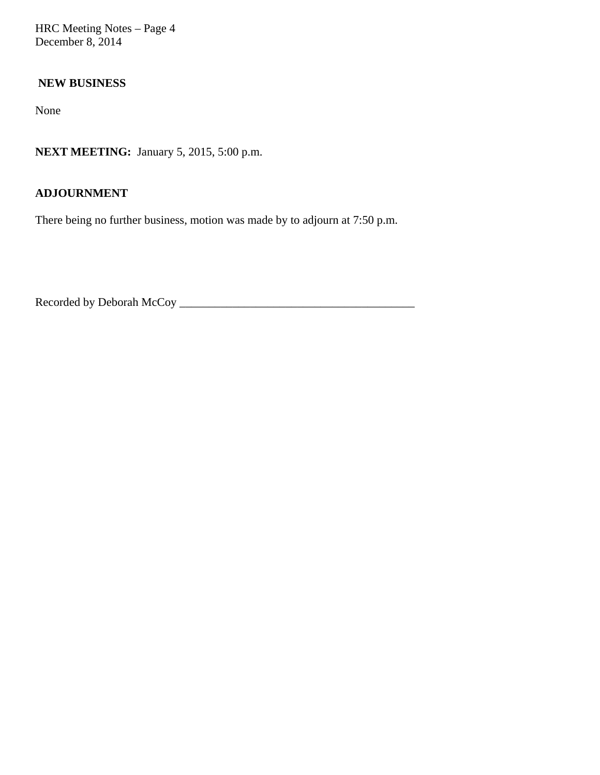HRC Meeting Notes – Page 4 December 8, 2014

## **NEW BUSINESS**

None

**NEXT MEETING:** January 5, 2015, 5:00 p.m.

## **ADJOURNMENT**

There being no further business, motion was made by to adjourn at 7:50 p.m.

Recorded by Deborah McCoy \_\_\_\_\_\_\_\_\_\_\_\_\_\_\_\_\_\_\_\_\_\_\_\_\_\_\_\_\_\_\_\_\_\_\_\_\_\_\_\_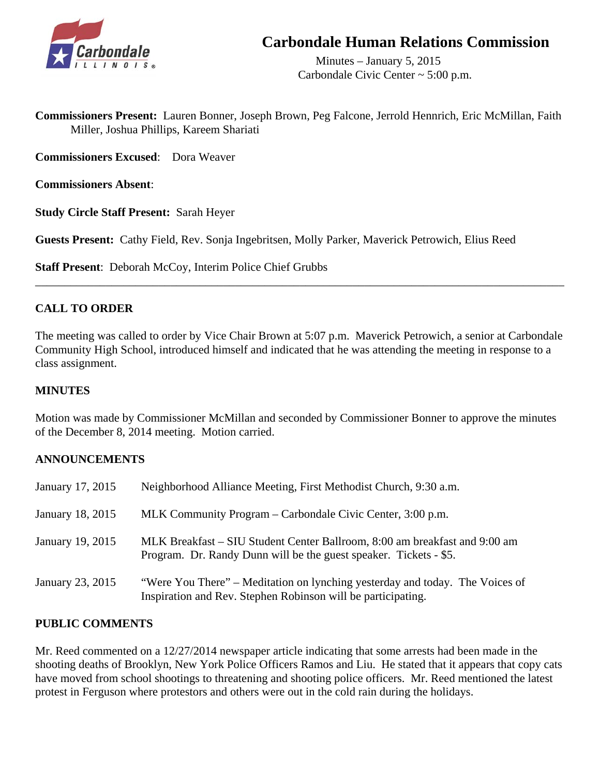

## **Carbondale Human Relations Commission**

 Minutes – January 5, 2015 Carbondale Civic Center ~ 5:00 p.m.

**Commissioners Present:** Lauren Bonner, Joseph Brown, Peg Falcone, Jerrold Hennrich, Eric McMillan, Faith Miller, Joshua Phillips, Kareem Shariati

**Commissioners Excused**: Dora Weaver

**Commissioners Absent**:

**Study Circle Staff Present:** Sarah Heyer

**Guests Present:** Cathy Field, Rev. Sonja Ingebritsen, Molly Parker, Maverick Petrowich, Elius Reed

**Staff Present**: Deborah McCoy, Interim Police Chief Grubbs

## **CALL TO ORDER**

The meeting was called to order by Vice Chair Brown at 5:07 p.m. Maverick Petrowich, a senior at Carbondale Community High School, introduced himself and indicated that he was attending the meeting in response to a class assignment.

\_\_\_\_\_\_\_\_\_\_\_\_\_\_\_\_\_\_\_\_\_\_\_\_\_\_\_\_\_\_\_\_\_\_\_\_\_\_\_\_\_\_\_\_\_\_\_\_\_\_\_\_\_\_\_\_\_\_\_\_\_\_\_\_\_\_\_\_\_\_\_\_\_\_\_\_\_\_\_\_\_\_\_\_\_\_\_\_\_\_

## **MINUTES**

Motion was made by Commissioner McMillan and seconded by Commissioner Bonner to approve the minutes of the December 8, 2014 meeting. Motion carried.

## **ANNOUNCEMENTS**

| January 17, 2015 | Neighborhood Alliance Meeting, First Methodist Church, 9:30 a.m.                                                                                |
|------------------|-------------------------------------------------------------------------------------------------------------------------------------------------|
| January 18, 2015 | MLK Community Program – Carbondale Civic Center, 3:00 p.m.                                                                                      |
| January 19, 2015 | MLK Breakfast – SIU Student Center Ballroom, 8:00 am breakfast and 9:00 am<br>Program. Dr. Randy Dunn will be the guest speaker. Tickets - \$5. |
| January 23, 2015 | "Were You There" – Meditation on lynching yesterday and today. The Voices of<br>Inspiration and Rev. Stephen Robinson will be participating.    |

## **PUBLIC COMMENTS**

Mr. Reed commented on a 12/27/2014 newspaper article indicating that some arrests had been made in the shooting deaths of Brooklyn, New York Police Officers Ramos and Liu. He stated that it appears that copy cats have moved from school shootings to threatening and shooting police officers. Mr. Reed mentioned the latest protest in Ferguson where protestors and others were out in the cold rain during the holidays.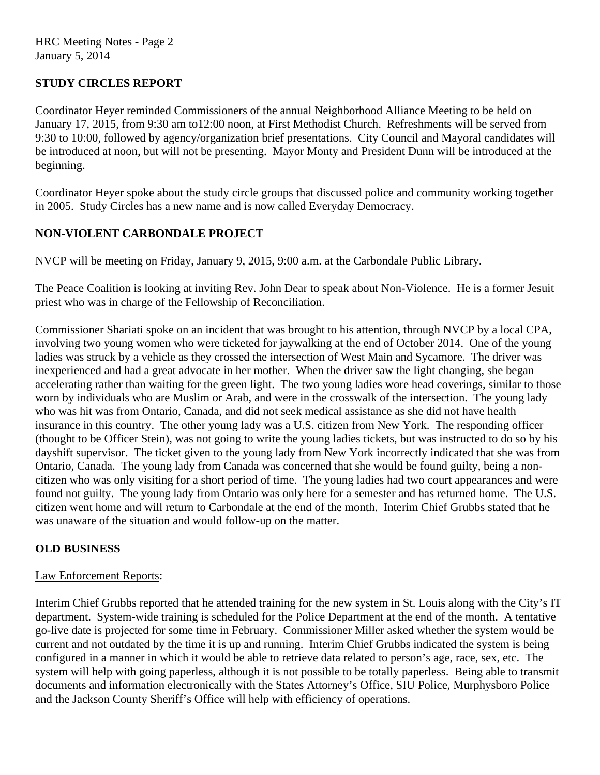## **STUDY CIRCLES REPORT**

Coordinator Heyer reminded Commissioners of the annual Neighborhood Alliance Meeting to be held on January 17, 2015, from 9:30 am to12:00 noon, at First Methodist Church. Refreshments will be served from 9:30 to 10:00, followed by agency/organization brief presentations. City Council and Mayoral candidates will be introduced at noon, but will not be presenting. Mayor Monty and President Dunn will be introduced at the beginning.

Coordinator Heyer spoke about the study circle groups that discussed police and community working together in 2005. Study Circles has a new name and is now called Everyday Democracy.

## **NON-VIOLENT CARBONDALE PROJECT**

NVCP will be meeting on Friday, January 9, 2015, 9:00 a.m. at the Carbondale Public Library.

The Peace Coalition is looking at inviting Rev. John Dear to speak about Non-Violence. He is a former Jesuit priest who was in charge of the Fellowship of Reconciliation.

Commissioner Shariati spoke on an incident that was brought to his attention, through NVCP by a local CPA, involving two young women who were ticketed for jaywalking at the end of October 2014. One of the young ladies was struck by a vehicle as they crossed the intersection of West Main and Sycamore. The driver was inexperienced and had a great advocate in her mother. When the driver saw the light changing, she began accelerating rather than waiting for the green light. The two young ladies wore head coverings, similar to those worn by individuals who are Muslim or Arab, and were in the crosswalk of the intersection. The young lady who was hit was from Ontario, Canada, and did not seek medical assistance as she did not have health insurance in this country. The other young lady was a U.S. citizen from New York. The responding officer (thought to be Officer Stein), was not going to write the young ladies tickets, but was instructed to do so by his dayshift supervisor. The ticket given to the young lady from New York incorrectly indicated that she was from Ontario, Canada. The young lady from Canada was concerned that she would be found guilty, being a noncitizen who was only visiting for a short period of time. The young ladies had two court appearances and were found not guilty. The young lady from Ontario was only here for a semester and has returned home. The U.S. citizen went home and will return to Carbondale at the end of the month. Interim Chief Grubbs stated that he was unaware of the situation and would follow-up on the matter.

## **OLD BUSINESS**

## Law Enforcement Reports:

Interim Chief Grubbs reported that he attended training for the new system in St. Louis along with the City's IT department. System-wide training is scheduled for the Police Department at the end of the month. A tentative go-live date is projected for some time in February. Commissioner Miller asked whether the system would be current and not outdated by the time it is up and running. Interim Chief Grubbs indicated the system is being configured in a manner in which it would be able to retrieve data related to person's age, race, sex, etc. The system will help with going paperless, although it is not possible to be totally paperless. Being able to transmit documents and information electronically with the States Attorney's Office, SIU Police, Murphysboro Police and the Jackson County Sheriff's Office will help with efficiency of operations.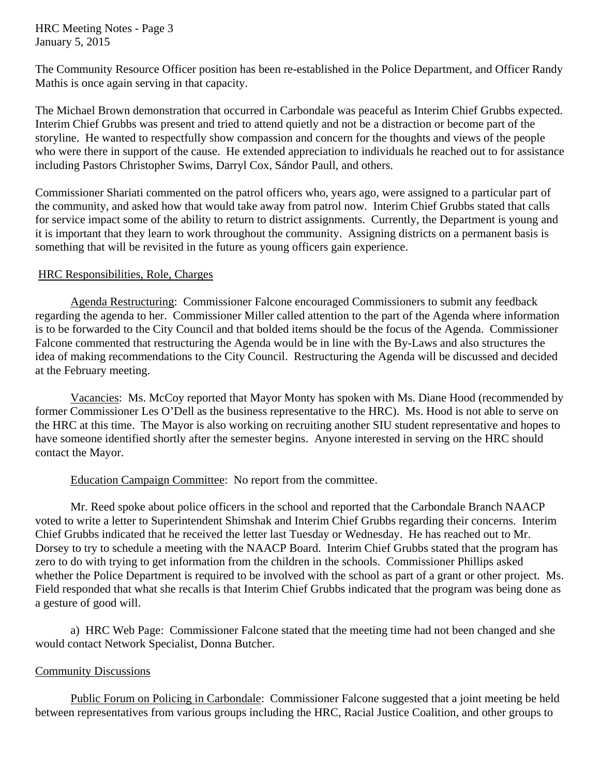HRC Meeting Notes - Page 3 January 5, 2015

The Community Resource Officer position has been re-established in the Police Department, and Officer Randy Mathis is once again serving in that capacity.

The Michael Brown demonstration that occurred in Carbondale was peaceful as Interim Chief Grubbs expected. Interim Chief Grubbs was present and tried to attend quietly and not be a distraction or become part of the storyline. He wanted to respectfully show compassion and concern for the thoughts and views of the people who were there in support of the cause. He extended appreciation to individuals he reached out to for assistance including Pastors Christopher Swims, Darryl Cox, Sándor Paull, and others.

Commissioner Shariati commented on the patrol officers who, years ago, were assigned to a particular part of the community, and asked how that would take away from patrol now. Interim Chief Grubbs stated that calls for service impact some of the ability to return to district assignments. Currently, the Department is young and it is important that they learn to work throughout the community. Assigning districts on a permanent basis is something that will be revisited in the future as young officers gain experience.

## HRC Responsibilities, Role, Charges

Agenda Restructuring: Commissioner Falcone encouraged Commissioners to submit any feedback regarding the agenda to her. Commissioner Miller called attention to the part of the Agenda where information is to be forwarded to the City Council and that bolded items should be the focus of the Agenda. Commissioner Falcone commented that restructuring the Agenda would be in line with the By-Laws and also structures the idea of making recommendations to the City Council. Restructuring the Agenda will be discussed and decided at the February meeting.

Vacancies: Ms. McCoy reported that Mayor Monty has spoken with Ms. Diane Hood (recommended by former Commissioner Les O'Dell as the business representative to the HRC). Ms. Hood is not able to serve on the HRC at this time. The Mayor is also working on recruiting another SIU student representative and hopes to have someone identified shortly after the semester begins. Anyone interested in serving on the HRC should contact the Mayor.

## Education Campaign Committee: No report from the committee.

Mr. Reed spoke about police officers in the school and reported that the Carbondale Branch NAACP voted to write a letter to Superintendent Shimshak and Interim Chief Grubbs regarding their concerns. Interim Chief Grubbs indicated that he received the letter last Tuesday or Wednesday. He has reached out to Mr. Dorsey to try to schedule a meeting with the NAACP Board. Interim Chief Grubbs stated that the program has zero to do with trying to get information from the children in the schools. Commissioner Phillips asked whether the Police Department is required to be involved with the school as part of a grant or other project. Ms. Field responded that what she recalls is that Interim Chief Grubbs indicated that the program was being done as a gesture of good will.

a) HRC Web Page: Commissioner Falcone stated that the meeting time had not been changed and she would contact Network Specialist, Donna Butcher.

## Community Discussions

 Public Forum on Policing in Carbondale: Commissioner Falcone suggested that a joint meeting be held between representatives from various groups including the HRC, Racial Justice Coalition, and other groups to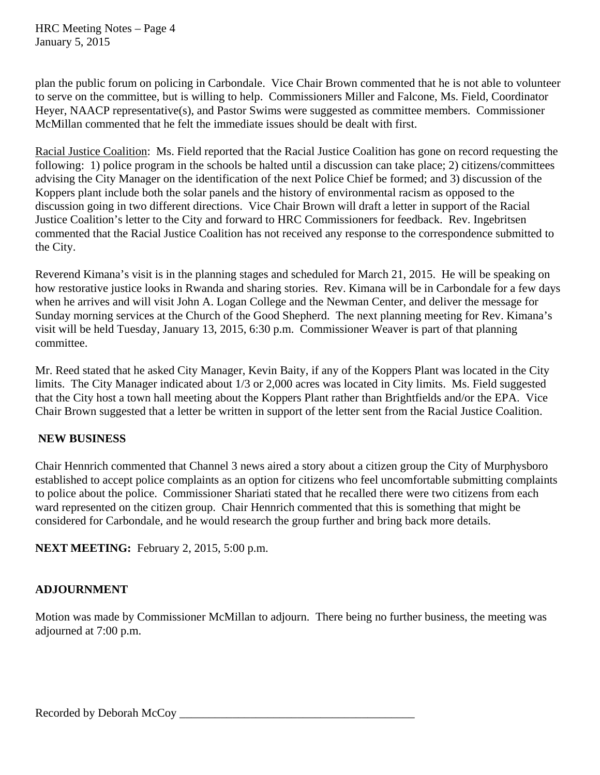plan the public forum on policing in Carbondale. Vice Chair Brown commented that he is not able to volunteer to serve on the committee, but is willing to help. Commissioners Miller and Falcone, Ms. Field, Coordinator Heyer, NAACP representative(s), and Pastor Swims were suggested as committee members. Commissioner McMillan commented that he felt the immediate issues should be dealt with first.

Racial Justice Coalition: Ms. Field reported that the Racial Justice Coalition has gone on record requesting the following: 1) police program in the schools be halted until a discussion can take place; 2) citizens/committees advising the City Manager on the identification of the next Police Chief be formed; and 3) discussion of the Koppers plant include both the solar panels and the history of environmental racism as opposed to the discussion going in two different directions. Vice Chair Brown will draft a letter in support of the Racial Justice Coalition's letter to the City and forward to HRC Commissioners for feedback. Rev. Ingebritsen commented that the Racial Justice Coalition has not received any response to the correspondence submitted to the City.

Reverend Kimana's visit is in the planning stages and scheduled for March 21, 2015. He will be speaking on how restorative justice looks in Rwanda and sharing stories. Rev. Kimana will be in Carbondale for a few days when he arrives and will visit John A. Logan College and the Newman Center, and deliver the message for Sunday morning services at the Church of the Good Shepherd. The next planning meeting for Rev. Kimana's visit will be held Tuesday, January 13, 2015, 6:30 p.m. Commissioner Weaver is part of that planning committee.

Mr. Reed stated that he asked City Manager, Kevin Baity, if any of the Koppers Plant was located in the City limits. The City Manager indicated about 1/3 or 2,000 acres was located in City limits. Ms. Field suggested that the City host a town hall meeting about the Koppers Plant rather than Brightfields and/or the EPA. Vice Chair Brown suggested that a letter be written in support of the letter sent from the Racial Justice Coalition.

## **NEW BUSINESS**

Chair Hennrich commented that Channel 3 news aired a story about a citizen group the City of Murphysboro established to accept police complaints as an option for citizens who feel uncomfortable submitting complaints to police about the police. Commissioner Shariati stated that he recalled there were two citizens from each ward represented on the citizen group. Chair Hennrich commented that this is something that might be considered for Carbondale, and he would research the group further and bring back more details.

**NEXT MEETING:** February 2, 2015, 5:00 p.m.

## **ADJOURNMENT**

Motion was made by Commissioner McMillan to adjourn. There being no further business, the meeting was adjourned at 7:00 p.m.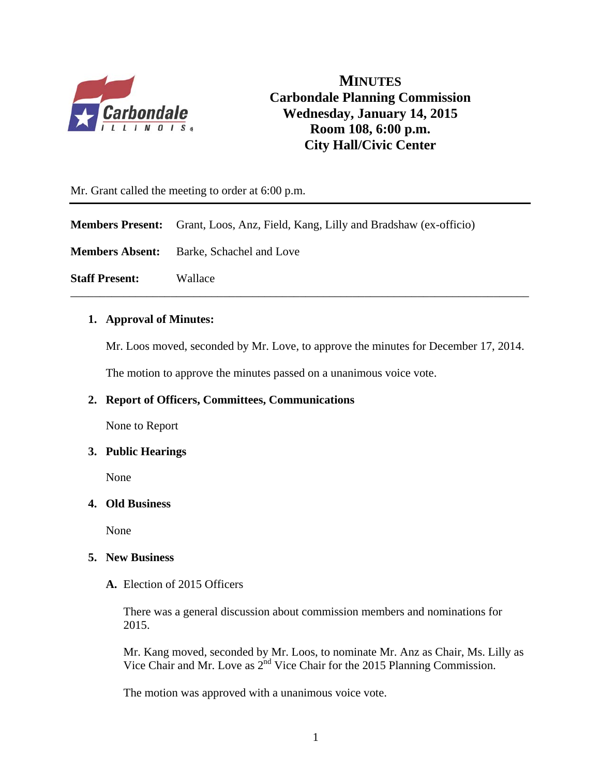

**MINUTES Carbondale Planning Commission Wednesday, January 14, 2015 Room 108, 6:00 p.m. City Hall/Civic Center**

Mr. Grant called the meeting to order at 6:00 p.m.

**Members Present:** Grant, Loos, Anz, Field, Kang, Lilly and Bradshaw (ex-officio)

**Members Absent:** Barke, Schachel and Love

**Staff Present:** Wallace

## **1. Approval of Minutes:**

Mr. Loos moved, seconded by Mr. Love, to approve the minutes for December 17, 2014.

\_\_\_\_\_\_\_\_\_\_\_\_\_\_\_\_\_\_\_\_\_\_\_\_\_\_\_\_\_\_\_\_\_\_\_\_\_\_\_\_\_\_\_\_\_\_\_\_\_\_\_\_\_\_\_\_\_\_\_\_\_\_\_\_\_\_\_\_\_\_\_\_\_\_\_\_\_\_

The motion to approve the minutes passed on a unanimous voice vote.

## **2. Report of Officers, Committees, Communications**

None to Report

#### **3. Public Hearings**

None

## **4. Old Business**

None

#### **5. New Business**

**A.** Election of 2015 Officers

There was a general discussion about commission members and nominations for 2015.

Mr. Kang moved, seconded by Mr. Loos, to nominate Mr. Anz as Chair, Ms. Lilly as Vice Chair and Mr. Love as  $2^{nd}$  Vice Chair for the 2015 Planning Commission.

The motion was approved with a unanimous voice vote.